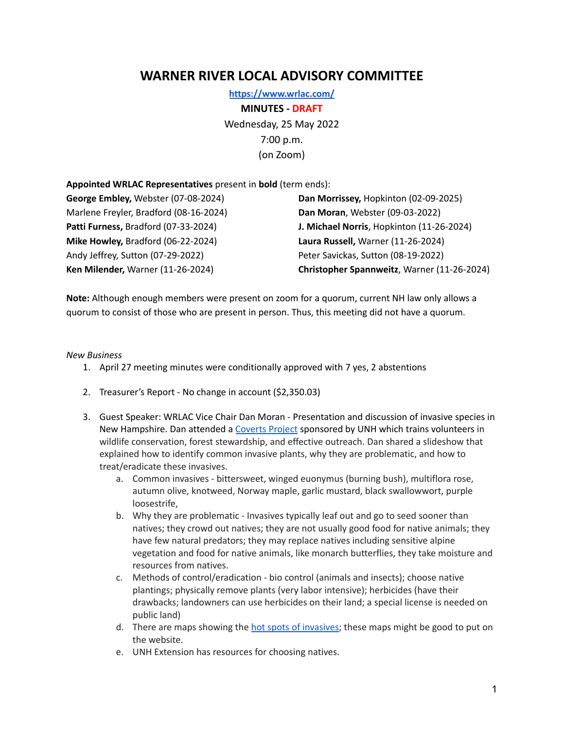## **WARNER RIVER LOCAL ADVISORY COMMITTEE**

**<https://www.wrlac.com/> MINUTES - DRAFT** Wednesday, 25 May 2022 7:00 p.m. (on Zoom)

## **Appointed WRLAC Representatives** present in **bold** (term ends):

**George Embley,** Webster (07-08-2024) **Dan Morrissey,** Hopkinton (02-09-2025) Marlene Freyler, Bradford (08-16-2024) **Dan Moran**, Webster (09-03-2022) **Mike Howley,** Bradford (06-22-2024) **Laura Russell,** Warner (11-26-2024) Andy Jeffrey, Sutton (07-29-2022) Peter Savickas, Sutton (08-19-2022)

**Patti Furness,** Bradford (07-33-2024) **J. Michael Norris**, Hopkinton (11-26-2024) **Ken Milender,** Warner (11-26-2024) **Christopher Spannweitz**, Warner (11-26-2024)

**Note:** Although enough members were present on zoom for a quorum, current NH law only allows a quorum to consist of those who are present in person. Thus, this meeting did not have a quorum.

## *New Business*

- 1. April 27 meeting minutes were conditionally approved with 7 yes, 2 abstentions
- 2. Treasurer's Report No change in account (\$2,350.03)
- 3. Guest Speaker: WRLAC Vice Chair Dan Moran Presentation and discussion of invasive species in New Hampshire. Dan attended a [Coverts](https://extension.unh.edu/natural-resources/wildlife/nh-coverts-project) Project sponsored by UNH which trains volunteers in wildlife conservation, forest stewardship, and effective outreach. Dan shared a slideshow that explained how to identify common invasive plants, why they are problematic, and how to treat/eradicate these invasives.
	- a. Common invasives bittersweet, winged euonymus (burning bush), multiflora rose, autumn olive, knotweed, Norway maple, garlic mustard, black swallowwort, purple loosestrife,
	- b. Why they are problematic Invasives typically leaf out and go to seed sooner than natives; they crowd out natives; they are not usually good food for native animals; they have few natural predators; they may replace natives including sensitive alpine vegetation and food for native animals, like monarch butterflies, they take moisture and resources from natives.
	- c. Methods of control/eradication bio control (animals and insects); choose native plantings; physically remove plants (very labor intensive); herbicides (have their drawbacks; landowners can use herbicides on their land; a special license is needed on public land)
	- d. There are maps showing the hot spots of [invasives](https://wildlife.state.nh.us/invasives/hot-spots.html); these maps might be good to put on the website.
	- e. UNH Extension has resources for choosing natives.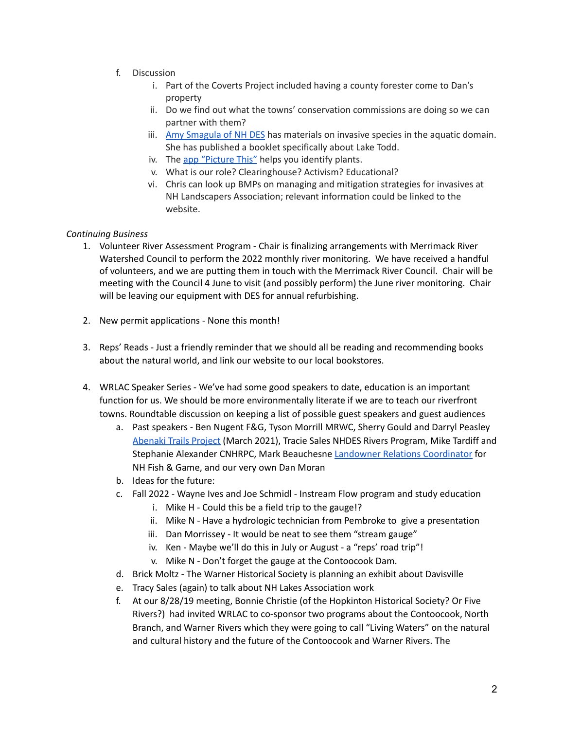- f. Discussion
	- i. Part of the Coverts Project included having a county forester come to Dan's property
	- ii. Do we find out what the towns' conservation commissions are doing so we can partner with them?
	- iii. Amy [Smagula](https://www.des.nh.gov/home-and-recreation/boating-and-fishing/invasive-species) of NH DES has materials on invasive species in the aquatic domain. She has published a booklet specifically about Lake Todd.
	- iv. The app ["Picture](https://apps.apple.com/us/app/picturethis-plant-identifier/id1252497129) This" helps you identify plants.
	- v. What is our role? Clearinghouse? Activism? Educational?
	- vi. Chris can look up BMPs on managing and mitigation strategies for invasives at NH Landscapers Association; relevant information could be linked to the website.

## *Continuing Business*

- 1. Volunteer River Assessment Program Chair is finalizing arrangements with Merrimack River Watershed Council to perform the 2022 monthly river monitoring. We have received a handful of volunteers, and we are putting them in touch with the Merrimack River Council. Chair will be meeting with the Council 4 June to visit (and possibly perform) the June river monitoring. Chair will be leaving our equipment with DES for annual refurbishing.
- 2. New permit applications None this month!
- 3. Reps' Reads Just a friendly reminder that we should all be reading and recommending books about the natural world, and link our website to our local bookstores.
- 4. WRLAC Speaker Series We've had some good speakers to date, education is an important function for us. We should be more environmentally literate if we are to teach our riverfront towns. Roundtable discussion on keeping a list of possible guest speakers and guest audiences
	- a. Past speakers Ben Nugent F&G, Tyson Morrill MRWC, Sherry Gould and Darryl Peasley [Abenaki](https://www.abenakitrails.com/) Trails Project (March 2021), Tracie Sales NHDES Rivers Program, Mike Tardiff and Stephanie Alexander CNHRPC, Mark Beauchesne Landowner Relations [Coordinator](https://wildlife.state.nh.us/landshare/index.html) for NH Fish & Game, and our very own Dan Moran
	- b. Ideas for the future:
	- c. Fall 2022 Wayne Ives and Joe Schmidl Instream Flow program and study education
		- i. Mike H Could this be a field trip to the gauge!?
		- ii. Mike N Have a hydrologic technician from Pembroke to give a presentation
		- iii. Dan Morrissey It would be neat to see them "stream gauge"
		- iv. Ken Maybe we'll do this in July or August a "reps' road trip"!
		- v. Mike N Don't forget the gauge at the Contoocook Dam.
	- d. Brick Moltz The Warner Historical Society is planning an exhibit about Davisville
	- e. Tracy Sales (again) to talk about NH Lakes Association work
	- f. At our 8/28/19 meeting, Bonnie Christie (of the Hopkinton Historical Society? Or Five Rivers?) had invited WRLAC to co-sponsor two programs about the Contoocook, North Branch, and Warner Rivers which they were going to call "Living Waters" on the natural and cultural history and the future of the Contoocook and Warner Rivers. The